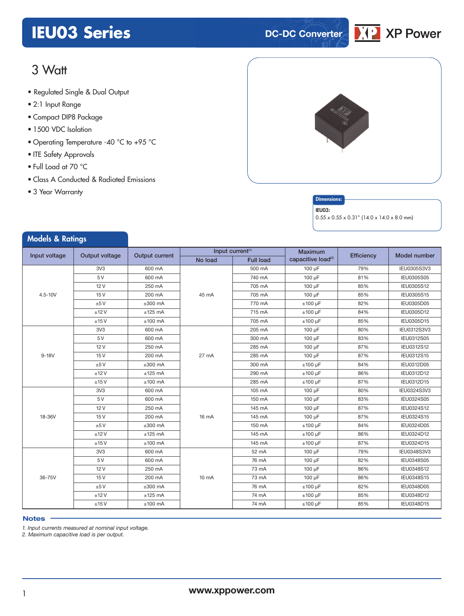# **IEU03 Series DC-DC** Converter



# 3 Watt

- **xxx Series** Regulated Single & Dual Output
- 2:1 Input Range
- Compact DIP8 Package
- 1500 VDC Isolation
- Operating Temperature -40 °C to +95 °C
- ITE Safety Approvals
- Full Load at 70 °C
- Class A Conducted & Radiated Emissions
- 3 Year Warranty

Models & Patings



#### **Dimensions**

#### IEU03:

 $0.55 \times 0.55 \times 0.31''$  (14.0 x 14.0 x 8.0 mm)

| moders of Kannys                |                 |                       |                 |                              |                                |            |                     |
|---------------------------------|-----------------|-----------------------|-----------------|------------------------------|--------------------------------|------------|---------------------|
| Input voltage<br>Output voltage |                 | <b>Output current</b> |                 | Input current <sup>(1)</sup> | <b>Maximum</b>                 | Efficiency | <b>Model number</b> |
|                                 |                 |                       | No load         | <b>Full load</b>             | capacitive load <sup>(2)</sup> |            |                     |
|                                 | 3V3             | 600 mA                |                 | 500 mA                       | 100 µF                         | 79%        | IEU0305S3V3         |
|                                 | 5 V             | 600 mA                |                 | 740 mA                       | 100 µF                         | 81%        | IEU0305S05          |
|                                 | 12V             | 250 mA                |                 | 705 mA                       | 100 µF                         | 85%        | IEU0305S12          |
| $4.5 - 10V$                     | 15V             | 200 mA                | 45 mA           | 705 mA                       | 100 µF                         | 85%        | IEU0305S15          |
|                                 | ±5V             | $±300$ mA             |                 | 770 mA                       | $±100 \mu F$                   | 82%        | IEU0305D05          |
|                                 | ±12V            | $±125$ mA             |                 | 715 mA                       | $±100~\mu F$                   | 84%        | IEU0305D12          |
|                                 | ±15V            | $±100$ mA             |                 | 705 mA                       | $±100~\mu F$                   | 85%        | IEU0305D15          |
|                                 | 3V3             | 600 mA                |                 | 205 mA                       | 100 µF                         | 80%        | IEU0312S3V3         |
|                                 | 5 V             | 600 mA                |                 | 300 mA                       | 100 µF                         | 83%        | IEU0312S05          |
|                                 | 12V             | 250 mA                |                 | 285 mA                       | 100 µF                         | 87%        | IEU0312S12          |
| $9-18V$                         | 15V             | 200 mA                | 27 mA           | 285 mA                       | 100 µF                         | 87%        | IEU0312S15          |
|                                 | ±5V             | $±300$ mA             |                 | 300 mA                       | $±100~\mu F$                   | 84%        | IEU0312D05          |
|                                 | ±12V            | $±125$ mA             |                 | 290 mA                       | $±100 \mu F$                   | 86%        | IEU0312D12          |
|                                 | ±15V            | $±100$ mA             |                 | 285 mA                       | $±100 \mu F$                   | 87%        | IEU0312D15          |
|                                 | 3V <sub>3</sub> | 600 mA                |                 | 105 mA                       | 100 µF                         | 80%        | IEU0324S3V3         |
|                                 | 5 V             | 600 mA                |                 | 150 mA                       | 100 µF                         | 83%        | IEU0324S05          |
|                                 | 12V             | 250 mA                | 16 mA           | 145 mA                       | 100 µF                         | 87%        | IEU0324S12          |
| 18-36V                          | 15V             | 200 mA                |                 | 145 mA                       | 100 µF                         | 87%        | IEU0324S15          |
|                                 | ±5V             | $±300$ mA             |                 | 150 mA                       | $±100 \mu F$                   | 84%        | IEU0324D05          |
|                                 | ±12V            | $±125$ mA             |                 | 145 mA                       | $±100 \mu F$                   | 86%        | IEU0324D12          |
|                                 | ±15V            | $±100$ mA             |                 | 145 mA                       | $±100 \mu F$                   | 87%        | IEU0324D15          |
|                                 | 3V3             | 600 mA                |                 | 52 mA                        | 100 µF                         | 79%        | IEU0348S3V3         |
|                                 | 5 V             | 600 mA                |                 | 76 mA                        | 100 µF                         | 82%        | IEU0348S05          |
|                                 | 12V             | 250 mA                |                 | 73 mA                        | 100 µF                         | 86%        | IEU0348S12          |
| 36-75V                          | 15V             | 200 mA                | $10 \text{ mA}$ | 73 mA                        | 100 µF                         | 86%        | IEU0348S15          |
|                                 | ±5V             | $±300$ mA             |                 | 76 mA                        | $±100~\mu F$                   | 82%        | IEU0348D05          |
|                                 | ±12V            | $±125$ mA             |                 | 74 mA                        | $±100 \mu F$                   | 85%        | IEU0348D12          |
|                                 | ±15V            | $±100$ mA             |                 | 74 mA                        | $±100 \mu F$                   | 85%        | IEU0348D15          |

#### **Notes**

*1. Input currents measured at nominal input voltage.*

*2. Maximum capacitive load is per output.*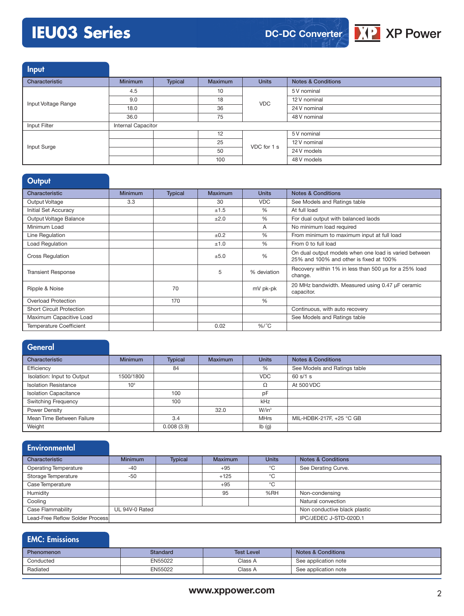# **IEU03 Series**



Input

| and the control     |                    |                |                |              |                               |
|---------------------|--------------------|----------------|----------------|--------------|-------------------------------|
| Characteristic      | <b>Minimum</b>     | <b>Typical</b> | <b>Maximum</b> | <b>Units</b> | <b>Notes &amp; Conditions</b> |
|                     | 4.5                |                | 10             |              | 5 V nominal                   |
| Input Voltage Range | 9.0                |                | 18             | <b>VDC</b>   | 12 V nominal                  |
|                     | 18.0               |                | 36             |              | 24 V nominal                  |
|                     | 36.0               |                | 75             |              | 48 V nominal                  |
| Input Filter        | Internal Capacitor |                |                |              |                               |
|                     |                    |                | 12             | VDC for 1 s  | 5 V nominal                   |
| Input Surge         |                    |                | 25             |              | 12 V nominal                  |
|                     |                    |                | 50             |              | 24 V models                   |
|                     |                    |                | 100            |              | 48 V models                   |

### **Output**

| Characteristic                  | <b>Minimum</b> | <b>Typical</b> | Maximum | <b>Units</b>  | <b>Notes &amp; Conditions</b>                                                                    |
|---------------------------------|----------------|----------------|---------|---------------|--------------------------------------------------------------------------------------------------|
| Output Voltage                  | 3.3            |                | 30      | <b>VDC</b>    | See Models and Ratings table                                                                     |
| Initial Set Accuracy            |                |                | ±1.5    | $\%$          | At full load                                                                                     |
| Output Voltage Balance          |                |                | ±2.0    | $\%$          | For dual output with balanced laods                                                              |
| Minimum Load                    |                |                |         | A             | No minimum load required                                                                         |
| Line Regulation                 |                |                | ±0.2    | %             | From minimum to maximum input at full load                                                       |
| <b>Load Regulation</b>          |                |                | ±1.0    | $\frac{0}{0}$ | From 0 to full load                                                                              |
| <b>Cross Regulation</b>         |                |                | ±5.0    | $\frac{0}{0}$ | On dual output models when one load is varied between<br>25% and 100% and other is fixed at 100% |
| <b>Transient Response</b>       |                |                | 5       | % deviation   | Recovery within 1% in less than 500 us for a 25% load<br>change.                                 |
| Ripple & Noise                  |                | 70             |         | mV pk-pk      | 20 MHz bandwidth. Measured using 0.47 µF ceramic<br>capacitor.                                   |
| Overload Protection             |                | 170            |         | %             |                                                                                                  |
| <b>Short Circuit Protection</b> |                |                |         |               | Continuous, with auto recovery                                                                   |
| Maximum Capacitive Load         |                |                |         |               | See Models and Ratings table                                                                     |
| <b>Temperature Coefficient</b>  |                |                | 0.02    | $\%$ /°C      |                                                                                                  |

| <b>General</b>               |                 |                |                |              |                               |
|------------------------------|-----------------|----------------|----------------|--------------|-------------------------------|
| Characteristic               | <b>Minimum</b>  | <b>Typical</b> | <b>Maximum</b> | <b>Units</b> | <b>Notes &amp; Conditions</b> |
| Efficiency                   |                 | 84             |                | %            | See Models and Ratings table  |
| Isolation: Input to Output   | 1500/1800       |                |                | <b>VDC</b>   | 60 s/1 s                      |
| <b>Isolation Resistance</b>  | 10 <sup>9</sup> |                |                | Ω            | At 500 VDC                    |
| <b>Isolation Capacitance</b> |                 | 100            |                | pF           |                               |
| <b>Switching Frequency</b>   |                 | 100            |                | kHz          |                               |
| Power Density                |                 |                | 32.0           | $W/in^3$     |                               |
| Mean Time Between Failure    |                 | 3.4            |                | <b>MHrs</b>  | MIL-HDBK-217F, +25 °C GB      |
| Weight                       |                 | 0.008(3.9)     |                | lb(q)        |                               |

#### **Environmental** Characteristic Minimum Typical Maximum Units Notes & Conditions Operating Temperature -40 -40 +95 °C See Derating Curve. Storage Temperature -50 +125 +125 °C Case Temperature +95 °C Humidity **195 %RH** Non-condensing Cooling Cooling and Cooling Cooling Cooling Cooling Cooling Cooling Cooling Cooling Cooling Cooling Cooling Cooling Cooling Cooling Cooling Cooling Cooling Cooling Cooling Cooling Cooling Cooling Cooling Cooling Cooling Co Case Flammability UL 94V-0 Rated Non conductive black plastic Non conductive black plastic Lead-Free Reflow Solder Process **IPC/JEDEC J-STD-020D.1**

| <b>EMC: Emissions</b> |                 |                   |                               |
|-----------------------|-----------------|-------------------|-------------------------------|
| Phenomenon            | <b>Standard</b> | <b>Test Level</b> | <b>Notes &amp; Conditions</b> |
| Conducted             | EN55022         | Class A           | See application note          |
| Radiated              | EN55022         | Class A           | See application note          |